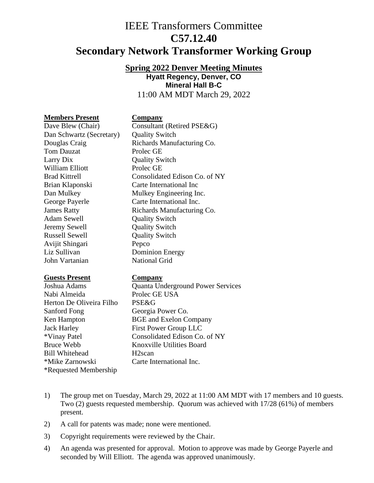# IEEE Transformers Committee **C57.12.40 Secondary Network Transformer Working Group**

**Spring 2022 Denver Meeting Minutes**

**Hyatt Regency, Denver, CO Mineral Hall B-C**

11:00 AM MDT March 29, 2022

## **Members Present Company**

Dan Schwartz (Secretary) Quality Switch Tom Dauzat Prolec GE Larry Dix **Quality Switch** William Elliott Prolec GE Brian Klaponski Carte International Inc George Payerle Carte International Inc. Adam Sewell Quality Switch Jeremy Sewell Quality Switch Russell Sewell **Quality Switch** Avijit Shingari Pepco Liz Sullivan Dominion Energy John Vartanian National Grid

## **Guests Present Company**

Nabi Almeida Prolec GE USA Herton De Oliveira Filho PSE&G Sanford Fong Georgia Power Co. Jack Harley First Power Group LLC Bruce Webb Knoxville Utilities Board Bill Whitehead H2scan \*Mike Zarnowski Carte International Inc. \*Requested Membership

Dave Blew (Chair) Consultant (Retired PSE&G) Douglas Craig Richards Manufacturing Co. Brad Kittrell Consolidated Edison Co. of NY Dan Mulkey Mulkey Engineering Inc. James Ratty Richards Manufacturing Co.

Joshua Adams Quanta Underground Power Services Ken Hampton BGE and Exelon Company \*Vinay Patel Consolidated Edison Co. of NY

- 1) The group met on Tuesday, March 29, 2022 at 11:00 AM MDT with 17 members and 10 guests. Two (2) guests requested membership. Quorum was achieved with 17/28 (61%) of members present.
- 2) A call for patents was made; none were mentioned.
- 3) Copyright requirements were reviewed by the Chair.
- 4) An agenda was presented for approval. Motion to approve was made by George Payerle and seconded by Will Elliott. The agenda was approved unanimously.